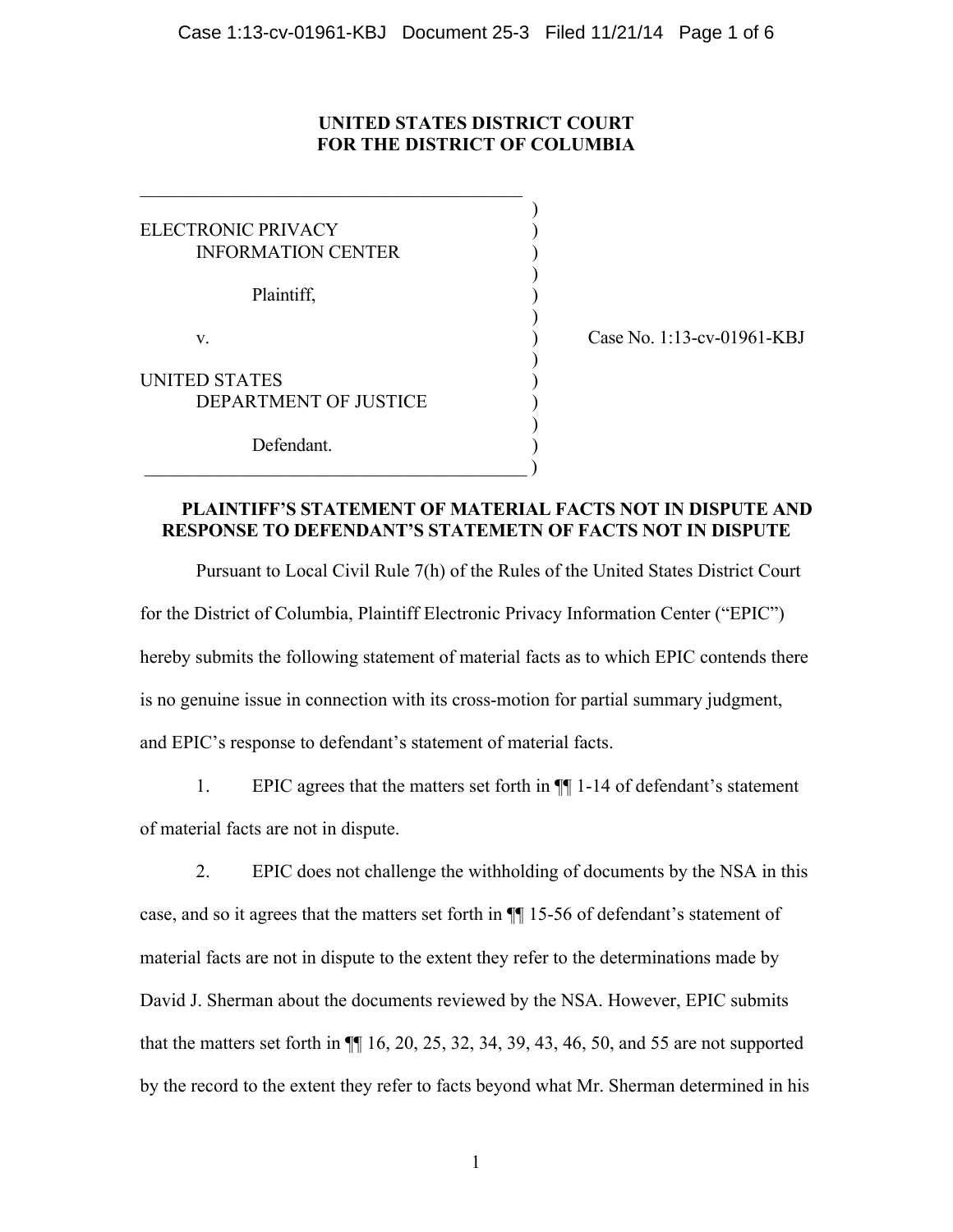# **UNITED STATES DISTRICT COURT FOR THE DISTRICT OF COLUMBIA**

)

)

)

)

)

ELECTRONIC PRIVACY (1999) INFORMATION CENTER )

 $\mathcal{L}_\text{max}$ 

Plaintiff, )

v. (assets to the case No. 1:13-cv-01961-KBJ) Case No. 1:13-cv-01961-KBJ

UNITED STATES DEPARTMENT OF JUSTICE )

Defendant.

 $\hspace{.5cm}$  ) and the contract of the contract of the contract of  $\hspace{.5cm}$ 

# **PLAINTIFF'S STATEMENT OF MATERIAL FACTS NOT IN DISPUTE AND RESPONSE TO DEFENDANT'S STATEMETN OF FACTS NOT IN DISPUTE**

Pursuant to Local Civil Rule 7(h) of the Rules of the United States District Court for the District of Columbia, Plaintiff Electronic Privacy Information Center ("EPIC") hereby submits the following statement of material facts as to which EPIC contends there is no genuine issue in connection with its cross-motion for partial summary judgment, and EPIC's response to defendant's statement of material facts.

1. EPIC agrees that the matters set forth in ¶¶ 1-14 of defendant's statement of material facts are not in dispute.

2. EPIC does not challenge the withholding of documents by the NSA in this case, and so it agrees that the matters set forth in ¶¶ 15-56 of defendant's statement of material facts are not in dispute to the extent they refer to the determinations made by David J. Sherman about the documents reviewed by the NSA. However, EPIC submits that the matters set forth in ¶¶ 16, 20, 25, 32, 34, 39, 43, 46, 50, and 55 are not supported by the record to the extent they refer to facts beyond what Mr. Sherman determined in his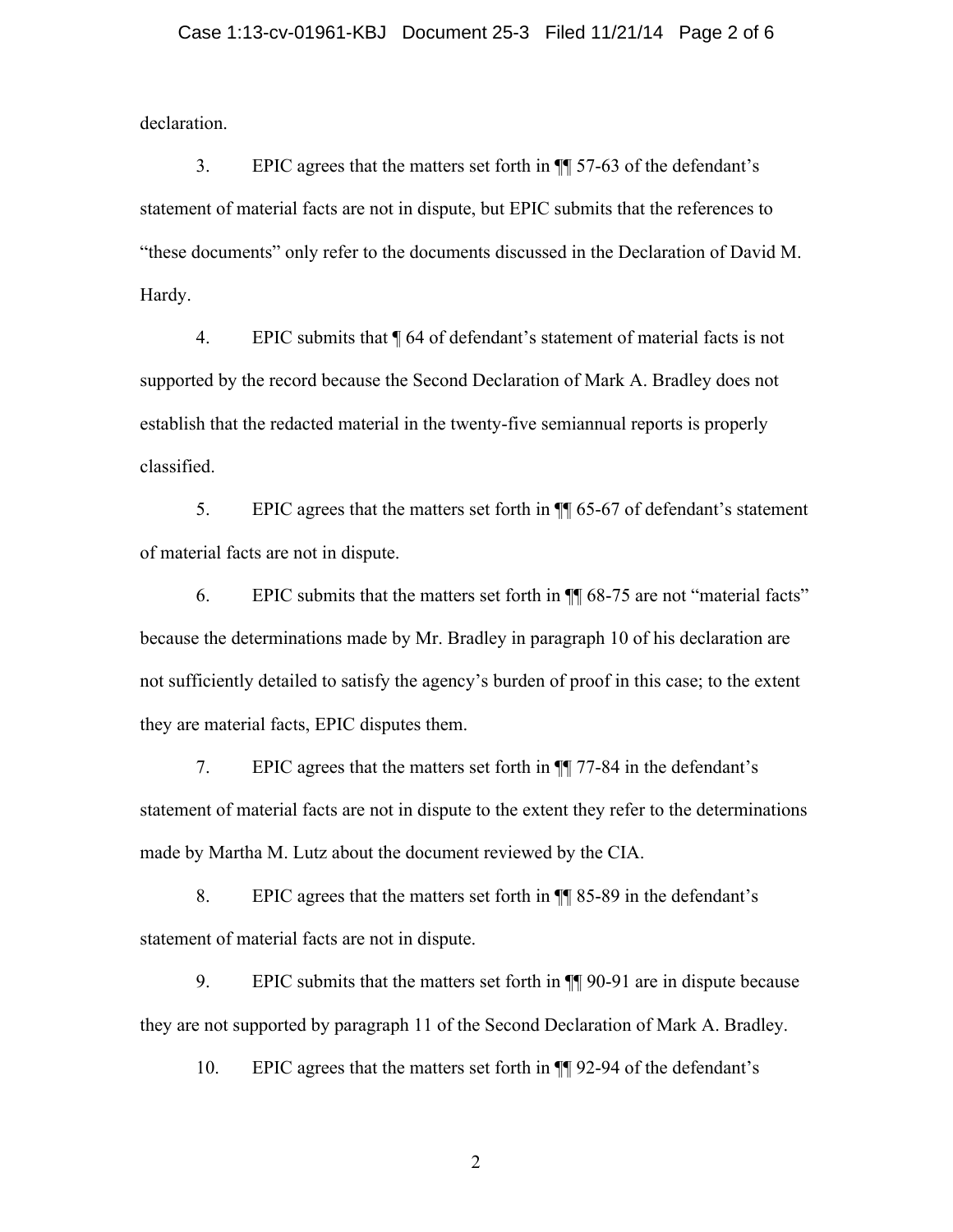## Case 1:13-cv-01961-KBJ Document 25-3 Filed 11/21/14 Page 2 of 6

declaration.

3. EPIC agrees that the matters set forth in ¶¶ 57-63 of the defendant's statement of material facts are not in dispute, but EPIC submits that the references to "these documents" only refer to the documents discussed in the Declaration of David M. Hardy.

4. EPIC submits that ¶ 64 of defendant's statement of material facts is not supported by the record because the Second Declaration of Mark A. Bradley does not establish that the redacted material in the twenty-five semiannual reports is properly classified.

5. EPIC agrees that the matters set forth in ¶¶ 65-67 of defendant's statement of material facts are not in dispute.

6. EPIC submits that the matters set forth in ¶¶ 68-75 are not "material facts" because the determinations made by Mr. Bradley in paragraph 10 of his declaration are not sufficiently detailed to satisfy the agency's burden of proof in this case; to the extent they are material facts, EPIC disputes them.

7. EPIC agrees that the matters set forth in ¶¶ 77-84 in the defendant's statement of material facts are not in dispute to the extent they refer to the determinations made by Martha M. Lutz about the document reviewed by the CIA.

8. EPIC agrees that the matters set forth in ¶¶ 85-89 in the defendant's statement of material facts are not in dispute.

9. EPIC submits that the matters set forth in ¶¶ 90-91 are in dispute because they are not supported by paragraph 11 of the Second Declaration of Mark A. Bradley.

10. EPIC agrees that the matters set forth in ¶¶ 92-94 of the defendant's

2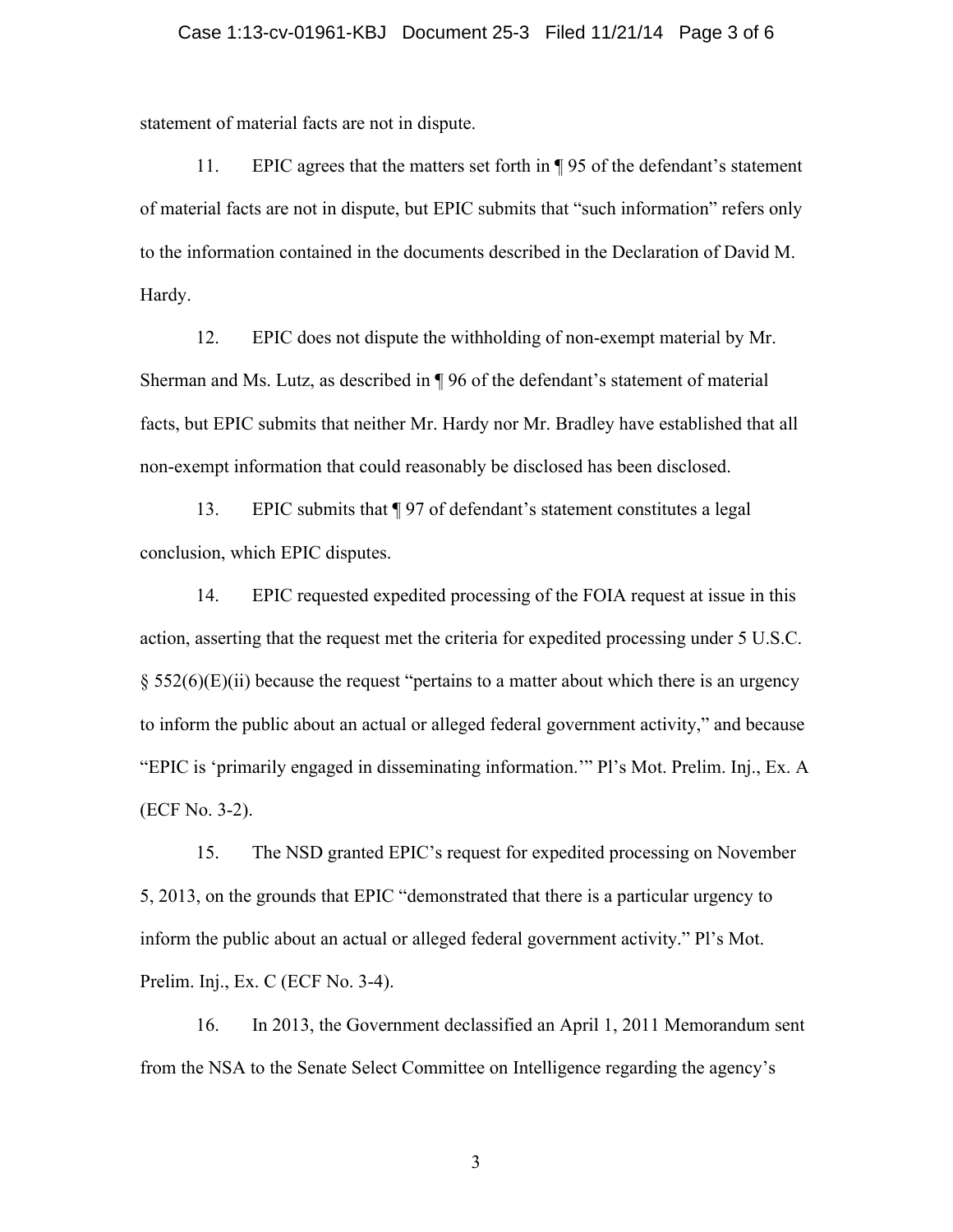### Case 1:13-cv-01961-KBJ Document 25-3 Filed 11/21/14 Page 3 of 6

statement of material facts are not in dispute.

11. EPIC agrees that the matters set forth in ¶ 95 of the defendant's statement of material facts are not in dispute, but EPIC submits that "such information" refers only to the information contained in the documents described in the Declaration of David M. Hardy.

12. EPIC does not dispute the withholding of non-exempt material by Mr. Sherman and Ms. Lutz, as described in ¶ 96 of the defendant's statement of material facts, but EPIC submits that neither Mr. Hardy nor Mr. Bradley have established that all non-exempt information that could reasonably be disclosed has been disclosed.

13. EPIC submits that ¶ 97 of defendant's statement constitutes a legal conclusion, which EPIC disputes.

14. EPIC requested expedited processing of the FOIA request at issue in this action, asserting that the request met the criteria for expedited processing under 5 U.S.C.  $\S$  552(6)(E)(ii) because the request "pertains to a matter about which there is an urgency to inform the public about an actual or alleged federal government activity," and because "EPIC is 'primarily engaged in disseminating information.'" Pl's Mot. Prelim. Inj., Ex. A (ECF No. 3-2).

15. The NSD granted EPIC's request for expedited processing on November 5, 2013, on the grounds that EPIC "demonstrated that there is a particular urgency to inform the public about an actual or alleged federal government activity." Pl's Mot. Prelim. Inj., Ex. C (ECF No. 3-4).

16. In 2013, the Government declassified an April 1, 2011 Memorandum sent from the NSA to the Senate Select Committee on Intelligence regarding the agency's

3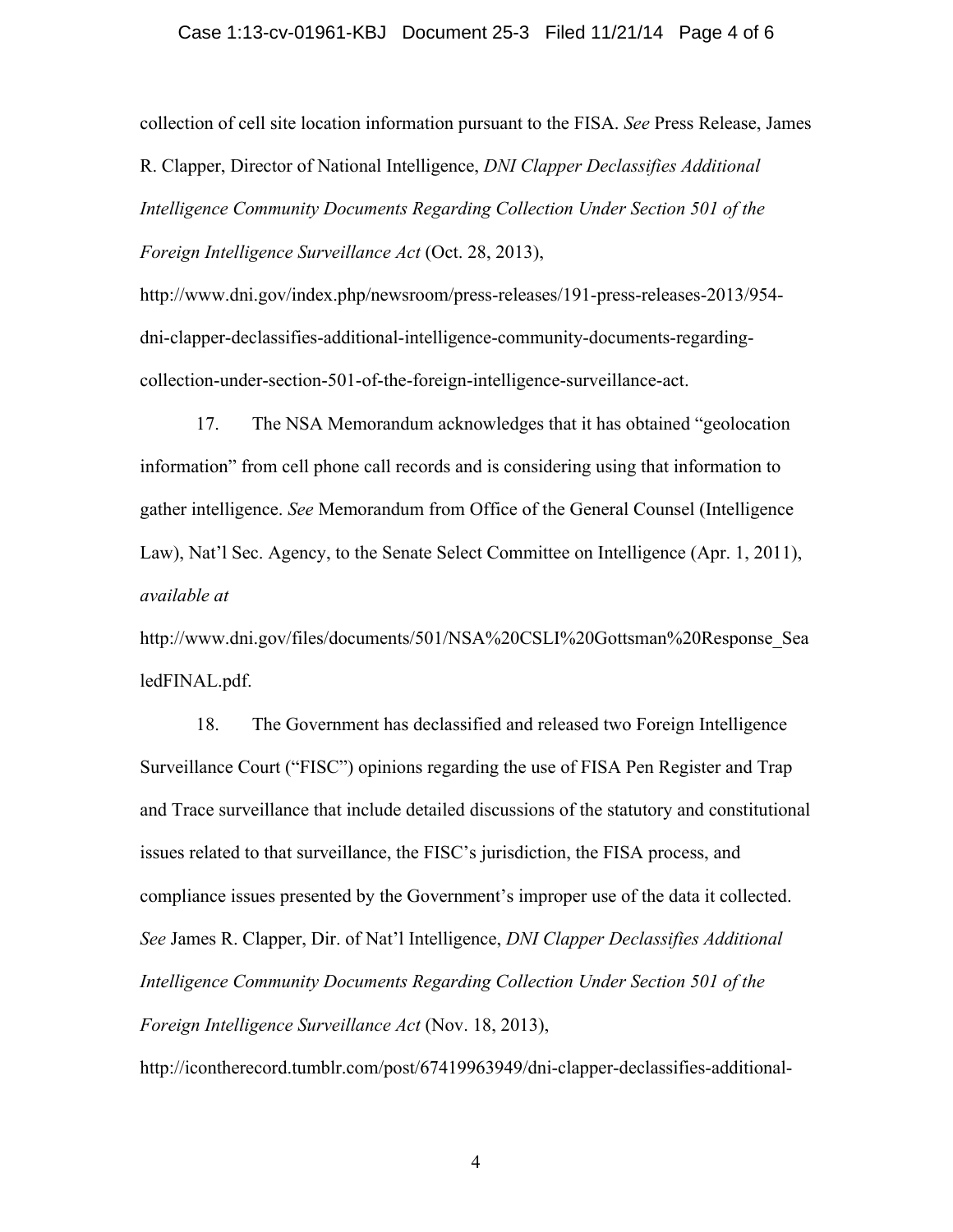#### Case 1:13-cv-01961-KBJ Document 25-3 Filed 11/21/14 Page 4 of 6

collection of cell site location information pursuant to the FISA. *See* Press Release, James R. Clapper, Director of National Intelligence, *DNI Clapper Declassifies Additional Intelligence Community Documents Regarding Collection Under Section 501 of the Foreign Intelligence Surveillance Act* (Oct. 28, 2013),

http://www.dni.gov/index.php/newsroom/press-releases/191-press-releases-2013/954 dni-clapper-declassifies-additional-intelligence-community-documents-regardingcollection-under-section-501-of-the-foreign-intelligence-surveillance-act.

17. The NSA Memorandum acknowledges that it has obtained "geolocation information" from cell phone call records and is considering using that information to gather intelligence. *See* Memorandum from Office of the General Counsel (Intelligence Law), Nat'l Sec. Agency, to the Senate Select Committee on Intelligence (Apr. 1, 2011), *available at*

http://www.dni.gov/files/documents/501/NSA%20CSLI%20Gottsman%20Response\_Sea ledFINAL.pdf.

18. The Government has declassified and released two Foreign Intelligence Surveillance Court ("FISC") opinions regarding the use of FISA Pen Register and Trap and Trace surveillance that include detailed discussions of the statutory and constitutional issues related to that surveillance, the FISC's jurisdiction, the FISA process, and compliance issues presented by the Government's improper use of the data it collected. *See* James R. Clapper, Dir. of Nat'l Intelligence, *DNI Clapper Declassifies Additional Intelligence Community Documents Regarding Collection Under Section 501 of the Foreign Intelligence Surveillance Act* (Nov. 18, 2013),

http://icontherecord.tumblr.com/post/67419963949/dni-clapper-declassifies-additional-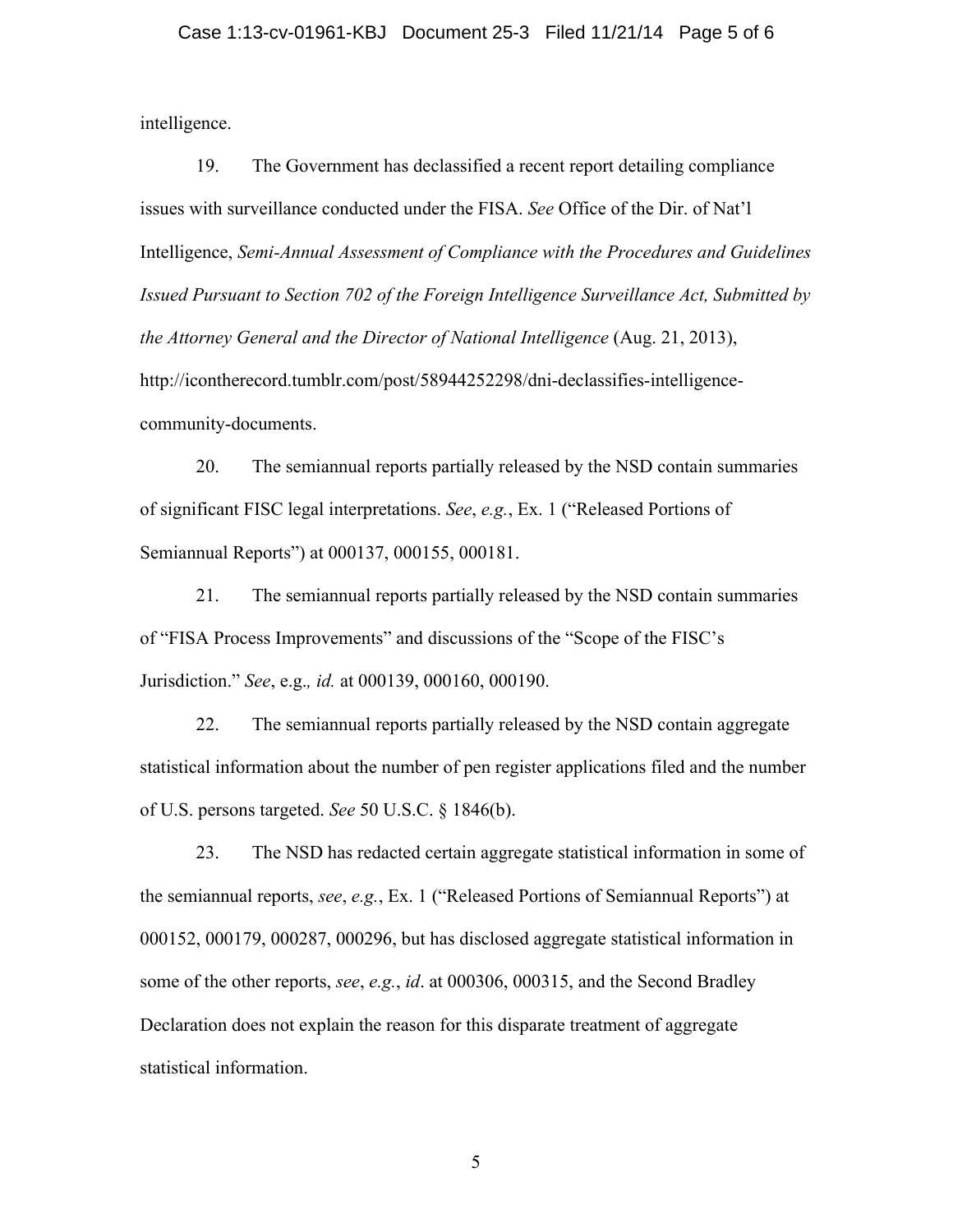### Case 1:13-cv-01961-KBJ Document 25-3 Filed 11/21/14 Page 5 of 6

intelligence.

19. The Government has declassified a recent report detailing compliance issues with surveillance conducted under the FISA. *See* Office of the Dir. of Nat'l Intelligence, *Semi-Annual Assessment of Compliance with the Procedures and Guidelines Issued Pursuant to Section 702 of the Foreign Intelligence Surveillance Act, Submitted by the Attorney General and the Director of National Intelligence* (Aug. 21, 2013), http://icontherecord.tumblr.com/post/58944252298/dni-declassifies-intelligencecommunity-documents.

20. The semiannual reports partially released by the NSD contain summaries of significant FISC legal interpretations. *See*, *e.g.*, Ex. 1 ("Released Portions of Semiannual Reports") at 000137, 000155, 000181.

21. The semiannual reports partially released by the NSD contain summaries of "FISA Process Improvements" and discussions of the "Scope of the FISC's Jurisdiction." *See*, e.g.*, id.* at 000139, 000160, 000190.

22. The semiannual reports partially released by the NSD contain aggregate statistical information about the number of pen register applications filed and the number of U.S. persons targeted. *See* 50 U.S.C. § 1846(b).

23. The NSD has redacted certain aggregate statistical information in some of the semiannual reports, *see*, *e.g.*, Ex. 1 ("Released Portions of Semiannual Reports") at 000152, 000179, 000287, 000296, but has disclosed aggregate statistical information in some of the other reports, *see*, *e.g.*, *id*. at 000306, 000315, and the Second Bradley Declaration does not explain the reason for this disparate treatment of aggregate statistical information.

5